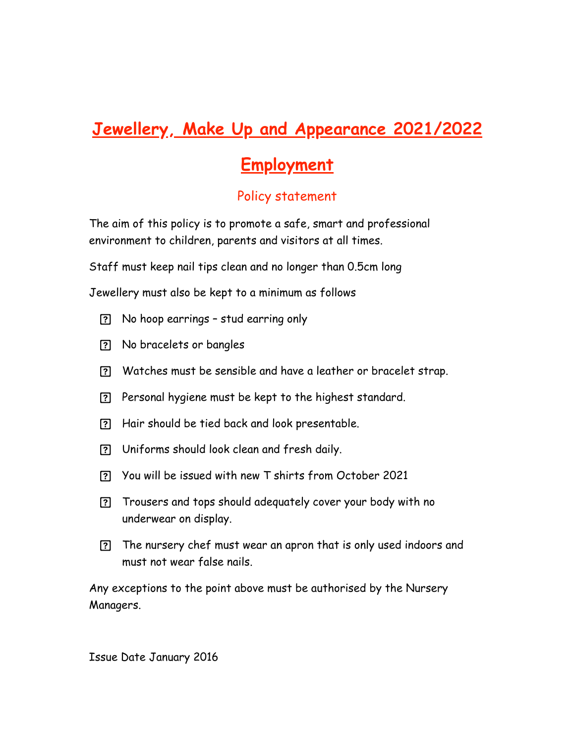## **Jewellery, Make Up and Appearance 2021/2022**

## **Employment**

## Policy statement

The aim of this policy is to promote a safe, smart and professional environment to children, parents and visitors at all times.

Staff must keep nail tips clean and no longer than 0.5cm long

Jewellery must also be kept to a minimum as follows

- No hoop earrings stud earring only
- No bracelets or bangles
- Watches must be sensible and have a leather or bracelet strap.
- Personal hygiene must be kept to the highest standard.
- Hair should be tied back and look presentable.
- Uniforms should look clean and fresh daily.
- You will be issued with new T shirts from October 2021
- Trousers and tops should adequately cover your body with no underwear on display.
- The nursery chef must wear an apron that is only used indoors and must not wear false nails.

Any exceptions to the point above must be authorised by the Nursery Managers.

Issue Date January 2016